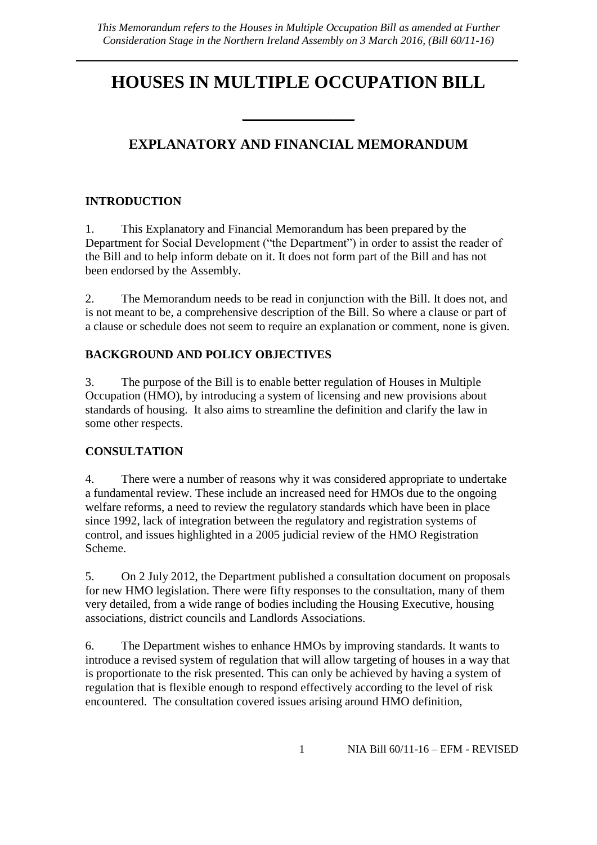# **HOUSES IN MULTIPLE OCCUPATION BILL**

## **EXPLANATORY AND FINANCIAL MEMORANDUM**

\_\_\_\_\_\_\_\_\_\_\_\_\_\_\_\_

## **INTRODUCTION**

1. This Explanatory and Financial Memorandum has been prepared by the Department for Social Development ("the Department") in order to assist the reader of the Bill and to help inform debate on it. It does not form part of the Bill and has not been endorsed by the Assembly.

2. The Memorandum needs to be read in conjunction with the Bill. It does not, and is not meant to be, a comprehensive description of the Bill. So where a clause or part of a clause or schedule does not seem to require an explanation or comment, none is given.

### **BACKGROUND AND POLICY OBJECTIVES**

3. The purpose of the Bill is to enable better regulation of Houses in Multiple Occupation (HMO), by introducing a system of licensing and new provisions about standards of housing. It also aims to streamline the definition and clarify the law in some other respects.

#### **CONSULTATION**

4. There were a number of reasons why it was considered appropriate to undertake a fundamental review. These include an increased need for HMOs due to the ongoing welfare reforms, a need to review the regulatory standards which have been in place since 1992, lack of integration between the regulatory and registration systems of control, and issues highlighted in a 2005 judicial review of the HMO Registration Scheme.

5. On 2 July 2012, the Department published a consultation document on proposals for new HMO legislation. There were fifty responses to the consultation, many of them very detailed, from a wide range of bodies including the Housing Executive, housing associations, district councils and Landlords Associations.

6. The Department wishes to enhance HMOs by improving standards. It wants to introduce a revised system of regulation that will allow targeting of houses in a way that is proportionate to the risk presented. This can only be achieved by having a system of regulation that is flexible enough to respond effectively according to the level of risk encountered. The consultation covered issues arising around HMO definition,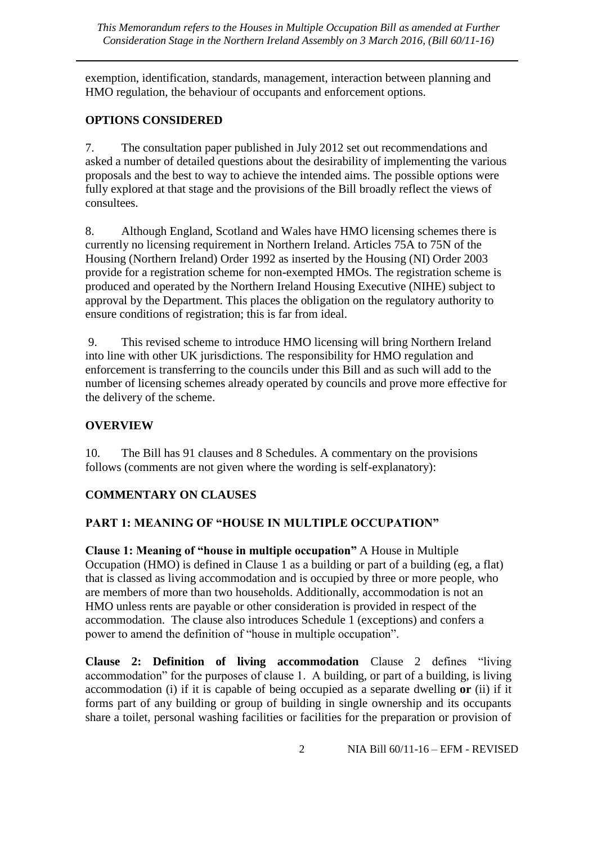exemption, identification, standards, management, interaction between planning and HMO regulation, the behaviour of occupants and enforcement options.

## **OPTIONS CONSIDERED**

7. The consultation paper published in July 2012 set out recommendations and asked a number of detailed questions about the desirability of implementing the various proposals and the best to way to achieve the intended aims. The possible options were fully explored at that stage and the provisions of the Bill broadly reflect the views of consultees.

8. Although England, Scotland and Wales have HMO licensing schemes there is currently no licensing requirement in Northern Ireland. Articles 75A to 75N of the Housing (Northern Ireland) Order 1992 as inserted by the Housing (NI) Order 2003 provide for a registration scheme for non-exempted HMOs. The registration scheme is produced and operated by the Northern Ireland Housing Executive (NIHE) subject to approval by the Department. This places the obligation on the regulatory authority to ensure conditions of registration; this is far from ideal.

9. This revised scheme to introduce HMO licensing will bring Northern Ireland into line with other UK jurisdictions. The responsibility for HMO regulation and enforcement is transferring to the councils under this Bill and as such will add to the number of licensing schemes already operated by councils and prove more effective for the delivery of the scheme.

## **OVERVIEW**

10. The Bill has 91 clauses and 8 Schedules. A commentary on the provisions follows (comments are not given where the wording is self-explanatory):

## **COMMENTARY ON CLAUSES**

## **PART 1: MEANING OF "HOUSE IN MULTIPLE OCCUPATION"**

**Clause 1: Meaning of "house in multiple occupation"** A House in Multiple Occupation (HMO) is defined in Clause 1 as a building or part of a building (eg, a flat) that is classed as living accommodation and is occupied by three or more people, who are members of more than two households. Additionally, accommodation is not an HMO unless rents are payable or other consideration is provided in respect of the accommodation. The clause also introduces Schedule 1 (exceptions) and confers a power to amend the definition of "house in multiple occupation".

**Clause 2: Definition of living accommodation** Clause 2 defines "living accommodation" for the purposes of clause 1. A building, or part of a building, is living accommodation (i) if it is capable of being occupied as a separate dwelling **or** (ii) if it forms part of any building or group of building in single ownership and its occupants share a toilet, personal washing facilities or facilities for the preparation or provision of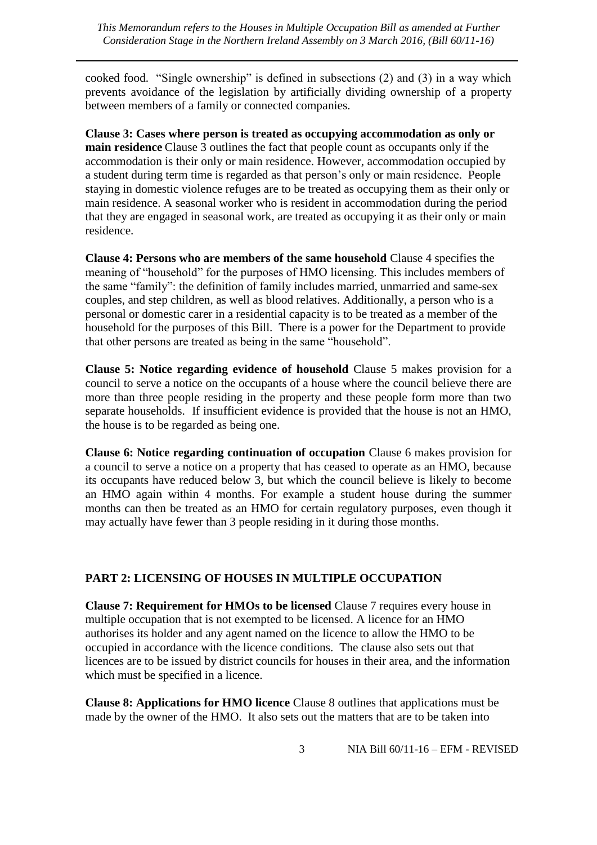cooked food. "Single ownership" is defined in subsections (2) and (3) in a way which prevents avoidance of the legislation by artificially dividing ownership of a property between members of a family or connected companies.

**Clause 3: Cases where person is treated as occupying accommodation as only or main residence** Clause 3 outlines the fact that people count as occupants only if the accommodation is their only or main residence. However, accommodation occupied by a student during term time is regarded as that person's only or main residence. People staying in domestic violence refuges are to be treated as occupying them as their only or main residence. A seasonal worker who is resident in accommodation during the period that they are engaged in seasonal work, are treated as occupying it as their only or main residence.

**Clause 4: Persons who are members of the same household** Clause 4 specifies the meaning of "household" for the purposes of HMO licensing. This includes members of the same "family": the definition of family includes married, unmarried and same-sex couples, and step children, as well as blood relatives. Additionally, a person who is a personal or domestic carer in a residential capacity is to be treated as a member of the household for the purposes of this Bill. There is a power for the Department to provide that other persons are treated as being in the same "household".

**Clause 5: Notice regarding evidence of household** Clause 5 makes provision for a council to serve a notice on the occupants of a house where the council believe there are more than three people residing in the property and these people form more than two separate households. If insufficient evidence is provided that the house is not an HMO, the house is to be regarded as being one.

**Clause 6: Notice regarding continuation of occupation** Clause 6 makes provision for a council to serve a notice on a property that has ceased to operate as an HMO, because its occupants have reduced below 3, but which the council believe is likely to become an HMO again within 4 months. For example a student house during the summer months can then be treated as an HMO for certain regulatory purposes, even though it may actually have fewer than 3 people residing in it during those months.

#### **PART 2: LICENSING OF HOUSES IN MULTIPLE OCCUPATION**

**Clause 7: Requirement for HMOs to be licensed** Clause 7 requires every house in multiple occupation that is not exempted to be licensed. A licence for an HMO authorises its holder and any agent named on the licence to allow the HMO to be occupied in accordance with the licence conditions. The clause also sets out that licences are to be issued by district councils for houses in their area, and the information which must be specified in a licence.

**Clause 8: Applications for HMO licence** Clause 8 outlines that applications must be made by the owner of the HMO. It also sets out the matters that are to be taken into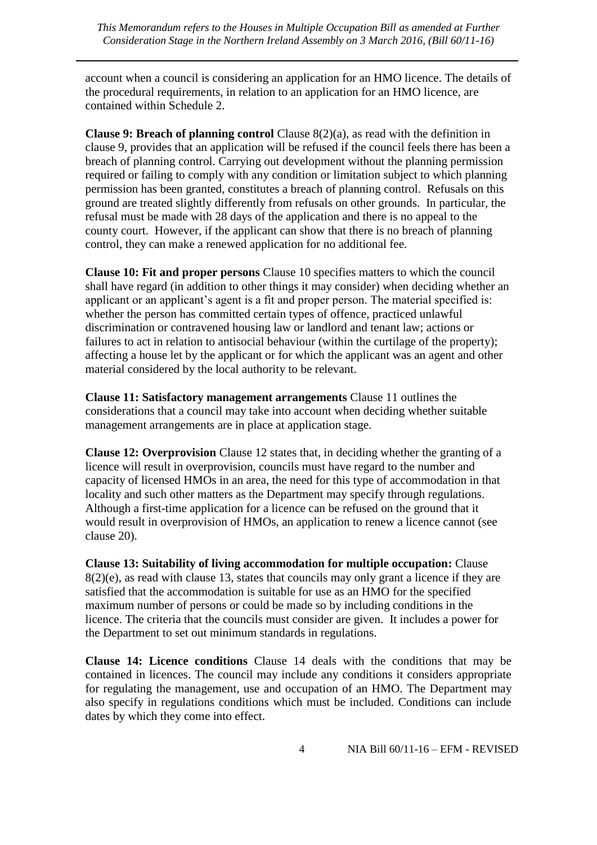account when a council is considering an application for an HMO licence. The details of the procedural requirements, in relation to an application for an HMO licence, are contained within Schedule 2.

**Clause 9: Breach of planning control** Clause 8(2)(a), as read with the definition in clause 9, provides that an application will be refused if the council feels there has been a breach of planning control. Carrying out development without the planning permission required or failing to comply with any condition or limitation subject to which planning permission has been granted, constitutes a breach of planning control. Refusals on this ground are treated slightly differently from refusals on other grounds. In particular, the refusal must be made with 28 days of the application and there is no appeal to the county court. However, if the applicant can show that there is no breach of planning control, they can make a renewed application for no additional fee.

**Clause 10: Fit and proper persons** Clause 10 specifies matters to which the council shall have regard (in addition to other things it may consider) when deciding whether an applicant or an applicant's agent is a fit and proper person. The material specified is: whether the person has committed certain types of offence, practiced unlawful discrimination or contravened housing law or landlord and tenant law; actions or failures to act in relation to antisocial behaviour (within the curtilage of the property); affecting a house let by the applicant or for which the applicant was an agent and other material considered by the local authority to be relevant.

**Clause 11: Satisfactory management arrangements** Clause 11 outlines the considerations that a council may take into account when deciding whether suitable management arrangements are in place at application stage.

**Clause 12: Overprovision** Clause 12 states that, in deciding whether the granting of a licence will result in overprovision, councils must have regard to the number and capacity of licensed HMOs in an area, the need for this type of accommodation in that locality and such other matters as the Department may specify through regulations. Although a first-time application for a licence can be refused on the ground that it would result in overprovision of HMOs, an application to renew a licence cannot (see clause 20).

**Clause 13: Suitability of living accommodation for multiple occupation:** Clause 8(2)(e), as read with clause 13, states that councils may only grant a licence if they are satisfied that the accommodation is suitable for use as an HMO for the specified maximum number of persons or could be made so by including conditions in the licence. The criteria that the councils must consider are given. It includes a power for the Department to set out minimum standards in regulations.

**Clause 14: Licence conditions** Clause 14 deals with the conditions that may be contained in licences. The council may include any conditions it considers appropriate for regulating the management, use and occupation of an HMO. The Department may also specify in regulations conditions which must be included. Conditions can include dates by which they come into effect.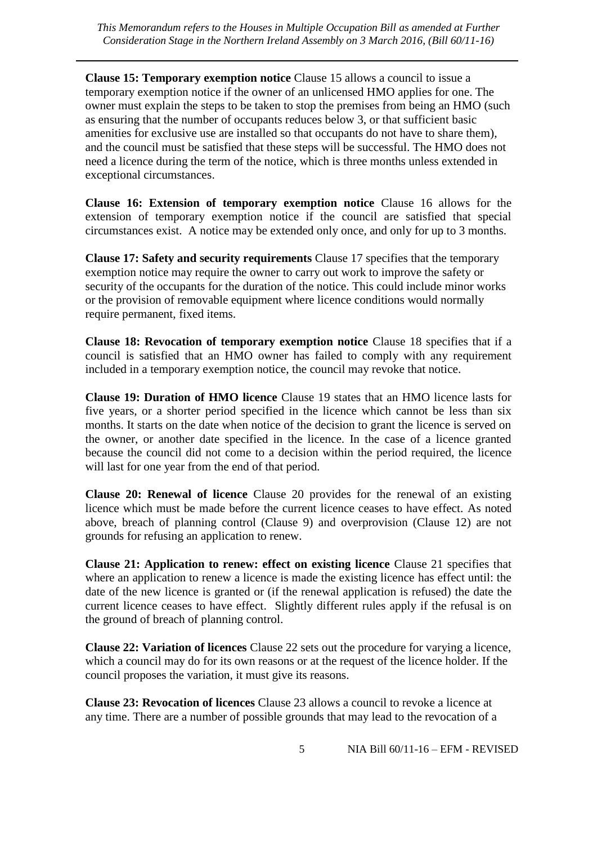**Clause 15: Temporary exemption notice** Clause 15 allows a council to issue a temporary exemption notice if the owner of an unlicensed HMO applies for one. The owner must explain the steps to be taken to stop the premises from being an HMO (such as ensuring that the number of occupants reduces below 3, or that sufficient basic amenities for exclusive use are installed so that occupants do not have to share them), and the council must be satisfied that these steps will be successful. The HMO does not need a licence during the term of the notice, which is three months unless extended in exceptional circumstances.

**Clause 16: Extension of temporary exemption notice** Clause 16 allows for the extension of temporary exemption notice if the council are satisfied that special circumstances exist. A notice may be extended only once, and only for up to 3 months.

**Clause 17: Safety and security requirements** Clause 17 specifies that the temporary exemption notice may require the owner to carry out work to improve the safety or security of the occupants for the duration of the notice. This could include minor works or the provision of removable equipment where licence conditions would normally require permanent, fixed items.

**Clause 18: Revocation of temporary exemption notice** Clause 18 specifies that if a council is satisfied that an HMO owner has failed to comply with any requirement included in a temporary exemption notice, the council may revoke that notice.

**Clause 19: Duration of HMO licence** Clause 19 states that an HMO licence lasts for five years, or a shorter period specified in the licence which cannot be less than six months. It starts on the date when notice of the decision to grant the licence is served on the owner, or another date specified in the licence. In the case of a licence granted because the council did not come to a decision within the period required, the licence will last for one year from the end of that period.

**Clause 20: Renewal of licence** Clause 20 provides for the renewal of an existing licence which must be made before the current licence ceases to have effect. As noted above, breach of planning control (Clause 9) and overprovision (Clause 12) are not grounds for refusing an application to renew.

**Clause 21: Application to renew: effect on existing licence** Clause 21 specifies that where an application to renew a licence is made the existing licence has effect until: the date of the new licence is granted or (if the renewal application is refused) the date the current licence ceases to have effect. Slightly different rules apply if the refusal is on the ground of breach of planning control.

**Clause 22: Variation of licences** Clause 22 sets out the procedure for varying a licence, which a council may do for its own reasons or at the request of the licence holder. If the council proposes the variation, it must give its reasons.

**Clause 23: Revocation of licences** Clause 23 allows a council to revoke a licence at any time. There are a number of possible grounds that may lead to the revocation of a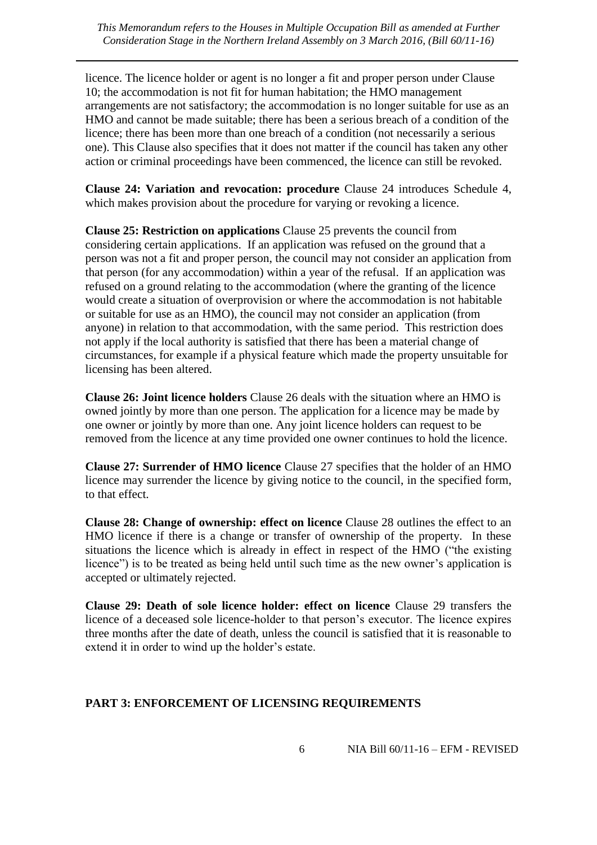*This Memorandum refers to the Houses in Multiple Occupation Bill as amended at Further Consideration Stage in the Northern Ireland Assembly on 3 March 2016, (Bill 60/11-16)*

licence. The licence holder or agent is no longer a fit and proper person under Clause 10; the accommodation is not fit for human habitation; the HMO management arrangements are not satisfactory; the accommodation is no longer suitable for use as an HMO and cannot be made suitable; there has been a serious breach of a condition of the licence; there has been more than one breach of a condition (not necessarily a serious one). This Clause also specifies that it does not matter if the council has taken any other action or criminal proceedings have been commenced, the licence can still be revoked.

**Clause 24: Variation and revocation: procedure** Clause 24 introduces Schedule 4, which makes provision about the procedure for varying or revoking a licence.

**Clause 25: Restriction on applications** Clause 25 prevents the council from considering certain applications. If an application was refused on the ground that a person was not a fit and proper person, the council may not consider an application from that person (for any accommodation) within a year of the refusal. If an application was refused on a ground relating to the accommodation (where the granting of the licence would create a situation of overprovision or where the accommodation is not habitable or suitable for use as an HMO), the council may not consider an application (from anyone) in relation to that accommodation, with the same period. This restriction does not apply if the local authority is satisfied that there has been a material change of circumstances, for example if a physical feature which made the property unsuitable for licensing has been altered.

**Clause 26: Joint licence holders** Clause 26 deals with the situation where an HMO is owned jointly by more than one person. The application for a licence may be made by one owner or jointly by more than one. Any joint licence holders can request to be removed from the licence at any time provided one owner continues to hold the licence.

**Clause 27: Surrender of HMO licence** Clause 27 specifies that the holder of an HMO licence may surrender the licence by giving notice to the council, in the specified form, to that effect.

**Clause 28: Change of ownership: effect on licence** Clause 28 outlines the effect to an HMO licence if there is a change or transfer of ownership of the property. In these situations the licence which is already in effect in respect of the HMO ("the existing licence") is to be treated as being held until such time as the new owner's application is accepted or ultimately rejected.

**Clause 29: Death of sole licence holder: effect on licence** Clause 29 transfers the licence of a deceased sole licence-holder to that person's executor. The licence expires three months after the date of death, unless the council is satisfied that it is reasonable to extend it in order to wind up the holder's estate.

#### **PART 3: ENFORCEMENT OF LICENSING REQUIREMENTS**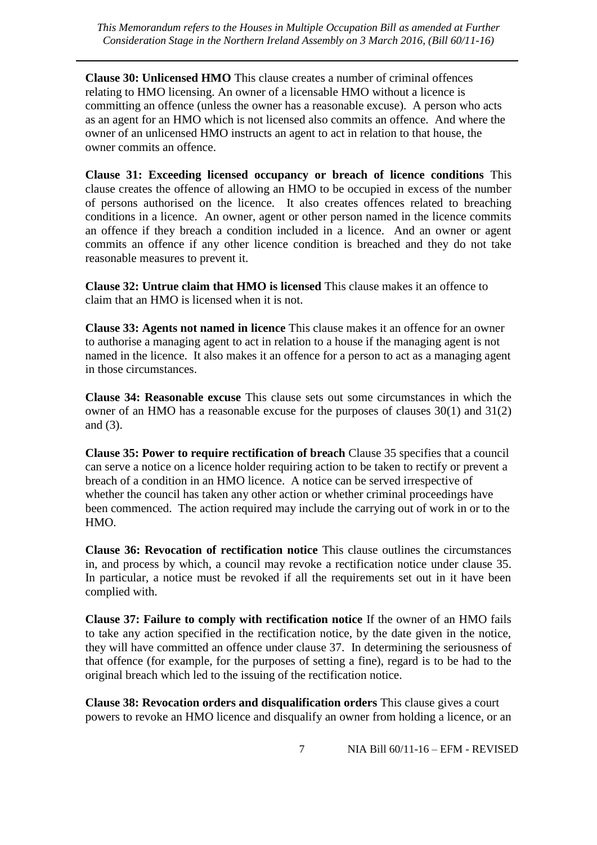**Clause 30: Unlicensed HMO** This clause creates a number of criminal offences relating to HMO licensing. An owner of a licensable HMO without a licence is committing an offence (unless the owner has a reasonable excuse). A person who acts as an agent for an HMO which is not licensed also commits an offence. And where the owner of an unlicensed HMO instructs an agent to act in relation to that house, the owner commits an offence.

**Clause 31: Exceeding licensed occupancy or breach of licence conditions** This clause creates the offence of allowing an HMO to be occupied in excess of the number of persons authorised on the licence. It also creates offences related to breaching conditions in a licence. An owner, agent or other person named in the licence commits an offence if they breach a condition included in a licence. And an owner or agent commits an offence if any other licence condition is breached and they do not take reasonable measures to prevent it.

**Clause 32: Untrue claim that HMO is licensed** This clause makes it an offence to claim that an HMO is licensed when it is not.

**Clause 33: Agents not named in licence** This clause makes it an offence for an owner to authorise a managing agent to act in relation to a house if the managing agent is not named in the licence. It also makes it an offence for a person to act as a managing agent in those circumstances.

**Clause 34: Reasonable excuse** This clause sets out some circumstances in which the owner of an HMO has a reasonable excuse for the purposes of clauses 30(1) and 31(2) and (3).

**Clause 35: Power to require rectification of breach** Clause 35 specifies that a council can serve a notice on a licence holder requiring action to be taken to rectify or prevent a breach of a condition in an HMO licence. A notice can be served irrespective of whether the council has taken any other action or whether criminal proceedings have been commenced. The action required may include the carrying out of work in or to the HMO.

**Clause 36: Revocation of rectification notice** This clause outlines the circumstances in, and process by which, a council may revoke a rectification notice under clause 35. In particular, a notice must be revoked if all the requirements set out in it have been complied with.

**Clause 37: Failure to comply with rectification notice** If the owner of an HMO fails to take any action specified in the rectification notice, by the date given in the notice, they will have committed an offence under clause 37. In determining the seriousness of that offence (for example, for the purposes of setting a fine), regard is to be had to the original breach which led to the issuing of the rectification notice.

**Clause 38: Revocation orders and disqualification orders** This clause gives a court powers to revoke an HMO licence and disqualify an owner from holding a licence, or an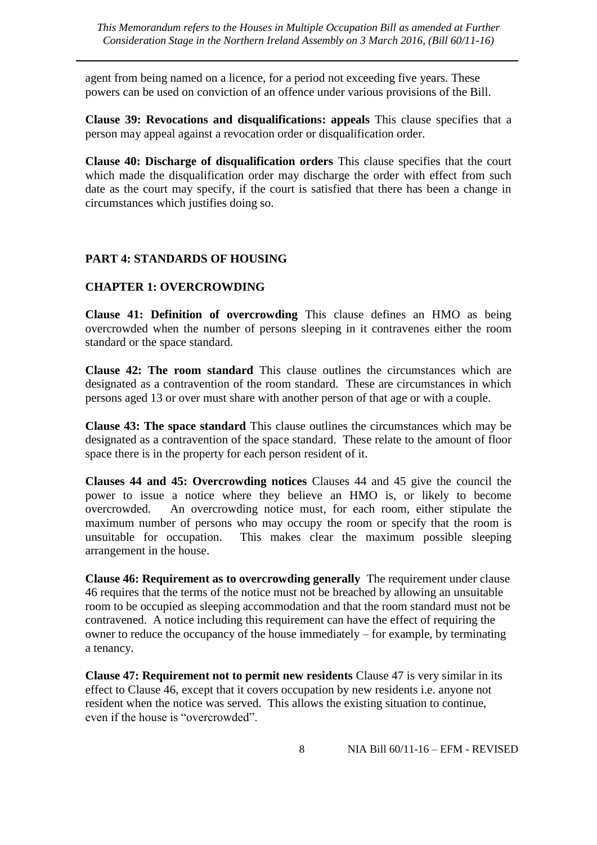agent from being named on a licence, for a period not exceeding five years. These powers can be used on conviction of an offence under various provisions of the Bill.

**Clause 39: Revocations and disqualifications: appeals** This clause specifies that a person may appeal against a revocation order or disqualification order.

**Clause 40: Discharge of disqualification orders** This clause specifies that the court which made the disqualification order may discharge the order with effect from such date as the court may specify, if the court is satisfied that there has been a change in circumstances which justifies doing so.

#### **PART 4: STANDARDS OF HOUSING**

#### **CHAPTER 1: OVERCROWDING**

**Clause 41: Definition of overcrowding** This clause defines an HMO as being overcrowded when the number of persons sleeping in it contravenes either the room standard or the space standard.

**Clause 42: The room standard** This clause outlines the circumstances which are designated as a contravention of the room standard. These are circumstances in which persons aged 13 or over must share with another person of that age or with a couple.

**Clause 43: The space standard** This clause outlines the circumstances which may be designated as a contravention of the space standard. These relate to the amount of floor space there is in the property for each person resident of it.

**Clauses 44 and 45: Overcrowding notices** Clauses 44 and 45 give the council the power to issue a notice where they believe an HMO is, or likely to become overcrowded. An overcrowding notice must, for each room, either stipulate the maximum number of persons who may occupy the room or specify that the room is unsuitable for occupation. This makes clear the maximum possible sleeping arrangement in the house.

**Clause 46: Requirement as to overcrowding generally** The requirement under clause 46 requires that the terms of the notice must not be breached by allowing an unsuitable room to be occupied as sleeping accommodation and that the room standard must not be contravened. A notice including this requirement can have the effect of requiring the owner to reduce the occupancy of the house immediately – for example, by terminating a tenancy.

**Clause 47: Requirement not to permit new residents** Clause 47 is very similar in its effect to Clause 46, except that it covers occupation by new residents i.e. anyone not resident when the notice was served. This allows the existing situation to continue, even if the house is "overcrowded".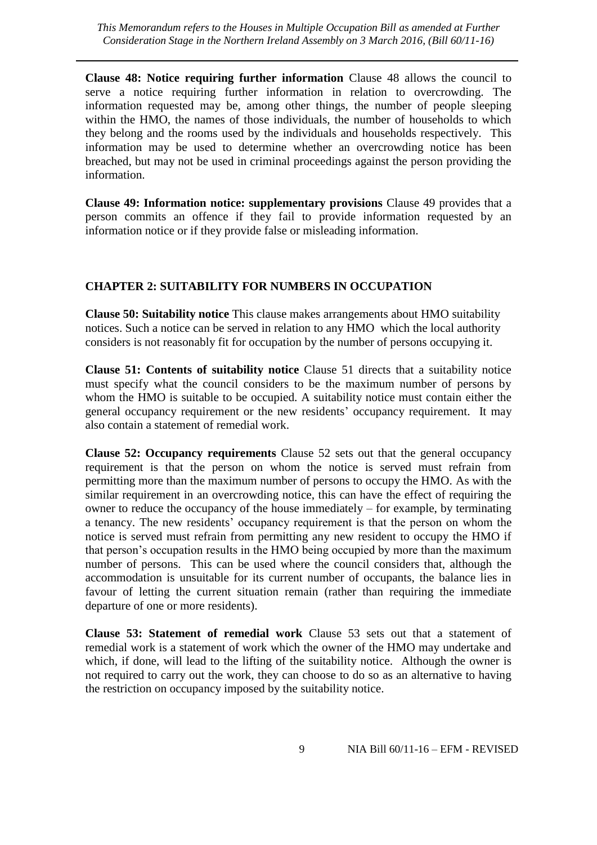*This Memorandum refers to the Houses in Multiple Occupation Bill as amended at Further Consideration Stage in the Northern Ireland Assembly on 3 March 2016, (Bill 60/11-16)*

**Clause 48: Notice requiring further information** Clause 48 allows the council to serve a notice requiring further information in relation to overcrowding. The information requested may be, among other things, the number of people sleeping within the HMO, the names of those individuals, the number of households to which they belong and the rooms used by the individuals and households respectively. This information may be used to determine whether an overcrowding notice has been breached, but may not be used in criminal proceedings against the person providing the information.

**Clause 49: Information notice: supplementary provisions** Clause 49 provides that a person commits an offence if they fail to provide information requested by an information notice or if they provide false or misleading information.

#### **CHAPTER 2: SUITABILITY FOR NUMBERS IN OCCUPATION**

**Clause 50: Suitability notice** This clause makes arrangements about HMO suitability notices. Such a notice can be served in relation to any HMO which the local authority considers is not reasonably fit for occupation by the number of persons occupying it.

**Clause 51: Contents of suitability notice** Clause 51 directs that a suitability notice must specify what the council considers to be the maximum number of persons by whom the HMO is suitable to be occupied. A suitability notice must contain either the general occupancy requirement or the new residents' occupancy requirement. It may also contain a statement of remedial work.

**Clause 52: Occupancy requirements** Clause 52 sets out that the general occupancy requirement is that the person on whom the notice is served must refrain from permitting more than the maximum number of persons to occupy the HMO. As with the similar requirement in an overcrowding notice, this can have the effect of requiring the owner to reduce the occupancy of the house immediately – for example, by terminating a tenancy. The new residents' occupancy requirement is that the person on whom the notice is served must refrain from permitting any new resident to occupy the HMO if that person's occupation results in the HMO being occupied by more than the maximum number of persons. This can be used where the council considers that, although the accommodation is unsuitable for its current number of occupants, the balance lies in favour of letting the current situation remain (rather than requiring the immediate departure of one or more residents).

**Clause 53: Statement of remedial work** Clause 53 sets out that a statement of remedial work is a statement of work which the owner of the HMO may undertake and which, if done, will lead to the lifting of the suitability notice. Although the owner is not required to carry out the work, they can choose to do so as an alternative to having the restriction on occupancy imposed by the suitability notice.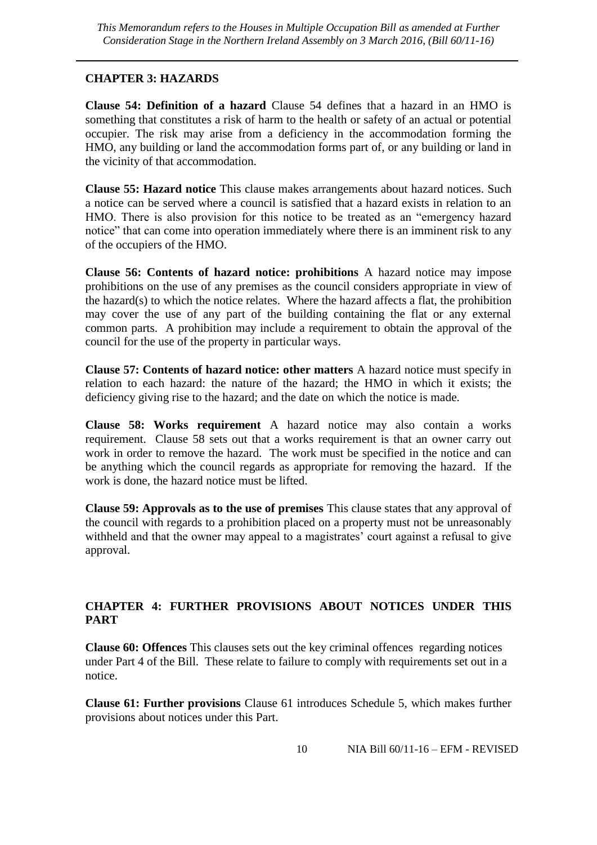#### **CHAPTER 3: HAZARDS**

**Clause 54: Definition of a hazard** Clause 54 defines that a hazard in an HMO is something that constitutes a risk of harm to the health or safety of an actual or potential occupier. The risk may arise from a deficiency in the accommodation forming the HMO, any building or land the accommodation forms part of, or any building or land in the vicinity of that accommodation.

**Clause 55: Hazard notice** This clause makes arrangements about hazard notices. Such a notice can be served where a council is satisfied that a hazard exists in relation to an HMO. There is also provision for this notice to be treated as an "emergency hazard notice" that can come into operation immediately where there is an imminent risk to any of the occupiers of the HMO.

**Clause 56: Contents of hazard notice: prohibitions** A hazard notice may impose prohibitions on the use of any premises as the council considers appropriate in view of the hazard(s) to which the notice relates. Where the hazard affects a flat, the prohibition may cover the use of any part of the building containing the flat or any external common parts. A prohibition may include a requirement to obtain the approval of the council for the use of the property in particular ways.

**Clause 57: Contents of hazard notice: other matters** A hazard notice must specify in relation to each hazard: the nature of the hazard; the HMO in which it exists; the deficiency giving rise to the hazard; and the date on which the notice is made.

**Clause 58: Works requirement** A hazard notice may also contain a works requirement. Clause 58 sets out that a works requirement is that an owner carry out work in order to remove the hazard. The work must be specified in the notice and can be anything which the council regards as appropriate for removing the hazard. If the work is done, the hazard notice must be lifted.

**Clause 59: Approvals as to the use of premises** This clause states that any approval of the council with regards to a prohibition placed on a property must not be unreasonably withheld and that the owner may appeal to a magistrates' court against a refusal to give approval.

#### **CHAPTER 4: FURTHER PROVISIONS ABOUT NOTICES UNDER THIS PART**

**Clause 60: Offences** This clauses sets out the key criminal offences regarding notices under Part 4 of the Bill. These relate to failure to comply with requirements set out in a notice.

**Clause 61: Further provisions** Clause 61 introduces Schedule 5, which makes further provisions about notices under this Part.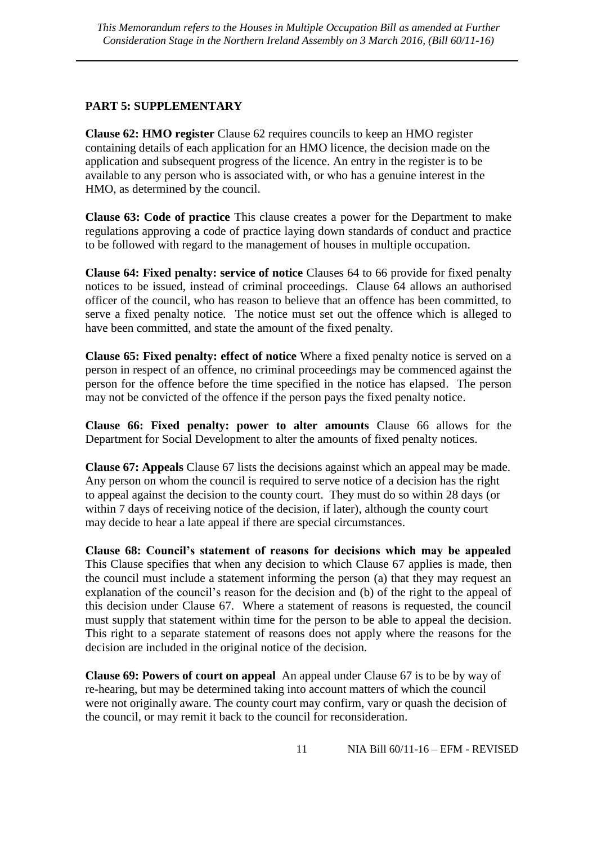#### **PART 5: SUPPLEMENTARY**

**Clause 62: HMO register** Clause 62 requires councils to keep an HMO register containing details of each application for an HMO licence, the decision made on the application and subsequent progress of the licence. An entry in the register is to be available to any person who is associated with, or who has a genuine interest in the HMO, as determined by the council.

**Clause 63: Code of practice** This clause creates a power for the Department to make regulations approving a code of practice laying down standards of conduct and practice to be followed with regard to the management of houses in multiple occupation.

**Clause 64: Fixed penalty: service of notice** Clauses 64 to 66 provide for fixed penalty notices to be issued, instead of criminal proceedings. Clause 64 allows an authorised officer of the council, who has reason to believe that an offence has been committed, to serve a fixed penalty notice. The notice must set out the offence which is alleged to have been committed, and state the amount of the fixed penalty.

**Clause 65: Fixed penalty: effect of notice** Where a fixed penalty notice is served on a person in respect of an offence, no criminal proceedings may be commenced against the person for the offence before the time specified in the notice has elapsed. The person may not be convicted of the offence if the person pays the fixed penalty notice.

**Clause 66: Fixed penalty: power to alter amounts** Clause 66 allows for the Department for Social Development to alter the amounts of fixed penalty notices.

**Clause 67: Appeals** Clause 67 lists the decisions against which an appeal may be made. Any person on whom the council is required to serve notice of a decision has the right to appeal against the decision to the county court. They must do so within 28 days (or within 7 days of receiving notice of the decision, if later), although the county court may decide to hear a late appeal if there are special circumstances.

**Clause 68: Council's statement of reasons for decisions which may be appealed**  This Clause specifies that when any decision to which Clause 67 applies is made, then the council must include a statement informing the person (a) that they may request an explanation of the council's reason for the decision and (b) of the right to the appeal of this decision under Clause 67. Where a statement of reasons is requested, the council must supply that statement within time for the person to be able to appeal the decision. This right to a separate statement of reasons does not apply where the reasons for the decision are included in the original notice of the decision.

**Clause 69: Powers of court on appeal** An appeal under Clause 67 is to be by way of re-hearing, but may be determined taking into account matters of which the council were not originally aware. The county court may confirm, vary or quash the decision of the council, or may remit it back to the council for reconsideration.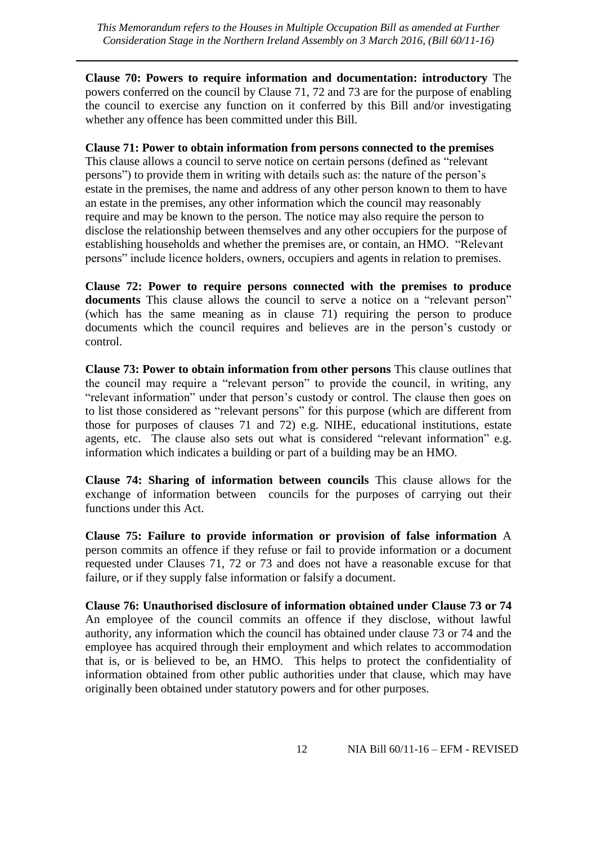**Clause 70: Powers to require information and documentation: introductory** The powers conferred on the council by Clause 71, 72 and 73 are for the purpose of enabling the council to exercise any function on it conferred by this Bill and/or investigating whether any offence has been committed under this Bill.

#### **Clause 71: Power to obtain information from persons connected to the premises**

This clause allows a council to serve notice on certain persons (defined as "relevant persons") to provide them in writing with details such as: the nature of the person's estate in the premises, the name and address of any other person known to them to have an estate in the premises, any other information which the council may reasonably require and may be known to the person. The notice may also require the person to disclose the relationship between themselves and any other occupiers for the purpose of establishing households and whether the premises are, or contain, an HMO. "Relevant persons" include licence holders, owners, occupiers and agents in relation to premises.

**Clause 72: Power to require persons connected with the premises to produce documents** This clause allows the council to serve a notice on a "relevant person" (which has the same meaning as in clause 71) requiring the person to produce documents which the council requires and believes are in the person's custody or control.

**Clause 73: Power to obtain information from other persons** This clause outlines that the council may require a "relevant person" to provide the council, in writing, any "relevant information" under that person's custody or control. The clause then goes on to list those considered as "relevant persons" for this purpose (which are different from those for purposes of clauses 71 and 72) e.g. NIHE, educational institutions, estate agents, etc. The clause also sets out what is considered "relevant information" e.g. information which indicates a building or part of a building may be an HMO.

**Clause 74: Sharing of information between councils** This clause allows for the exchange of information between councils for the purposes of carrying out their functions under this Act.

**Clause 75: Failure to provide information or provision of false information** A person commits an offence if they refuse or fail to provide information or a document requested under Clauses 71, 72 or 73 and does not have a reasonable excuse for that failure, or if they supply false information or falsify a document.

**Clause 76: Unauthorised disclosure of information obtained under Clause 73 or 74** An employee of the council commits an offence if they disclose, without lawful authority, any information which the council has obtained under clause 73 or 74 and the employee has acquired through their employment and which relates to accommodation that is, or is believed to be, an HMO. This helps to protect the confidentiality of information obtained from other public authorities under that clause, which may have originally been obtained under statutory powers and for other purposes.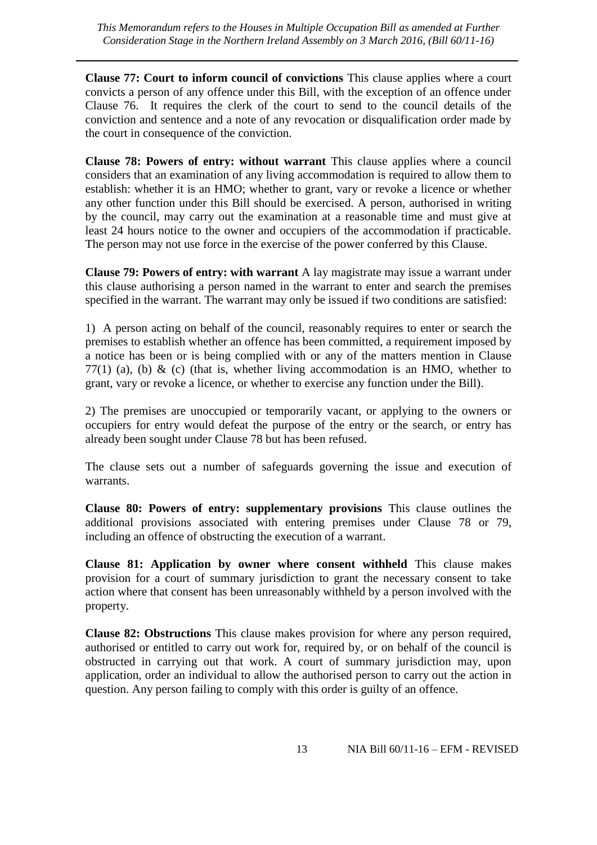**Clause 77: Court to inform council of convictions** This clause applies where a court convicts a person of any offence under this Bill, with the exception of an offence under Clause 76. It requires the clerk of the court to send to the council details of the conviction and sentence and a note of any revocation or disqualification order made by the court in consequence of the conviction.

**Clause 78: Powers of entry: without warrant** This clause applies where a council considers that an examination of any living accommodation is required to allow them to establish: whether it is an HMO; whether to grant, vary or revoke a licence or whether any other function under this Bill should be exercised. A person, authorised in writing by the council, may carry out the examination at a reasonable time and must give at least 24 hours notice to the owner and occupiers of the accommodation if practicable. The person may not use force in the exercise of the power conferred by this Clause.

**Clause 79: Powers of entry: with warrant** A lay magistrate may issue a warrant under this clause authorising a person named in the warrant to enter and search the premises specified in the warrant. The warrant may only be issued if two conditions are satisfied:

1) A person acting on behalf of the council, reasonably requires to enter or search the premises to establish whether an offence has been committed, a requirement imposed by a notice has been or is being complied with or any of the matters mention in Clause 77(1) (a), (b) & (c) (that is, whether living accommodation is an HMO, whether to grant, vary or revoke a licence, or whether to exercise any function under the Bill).

2) The premises are unoccupied or temporarily vacant, or applying to the owners or occupiers for entry would defeat the purpose of the entry or the search, or entry has already been sought under Clause 78 but has been refused.

The clause sets out a number of safeguards governing the issue and execution of warrants.

**Clause 80: Powers of entry: supplementary provisions** This clause outlines the additional provisions associated with entering premises under Clause 78 or 79, including an offence of obstructing the execution of a warrant.

**Clause 81: Application by owner where consent withheld** This clause makes provision for a court of summary jurisdiction to grant the necessary consent to take action where that consent has been unreasonably withheld by a person involved with the property.

**Clause 82: Obstructions** This clause makes provision for where any person required, authorised or entitled to carry out work for, required by, or on behalf of the council is obstructed in carrying out that work. A court of summary jurisdiction may, upon application, order an individual to allow the authorised person to carry out the action in question. Any person failing to comply with this order is guilty of an offence.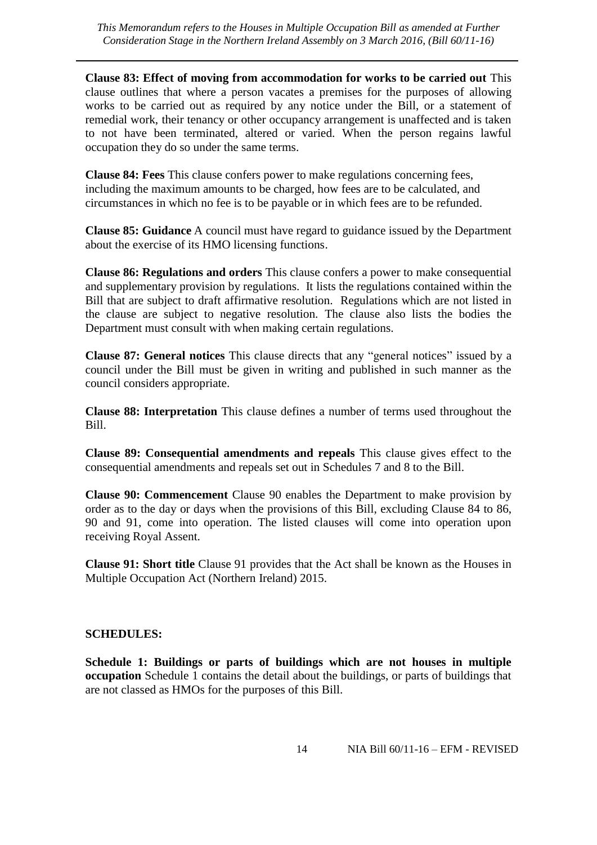**Clause 83: Effect of moving from accommodation for works to be carried out** This clause outlines that where a person vacates a premises for the purposes of allowing works to be carried out as required by any notice under the Bill, or a statement of remedial work, their tenancy or other occupancy arrangement is unaffected and is taken to not have been terminated, altered or varied. When the person regains lawful occupation they do so under the same terms.

**Clause 84: Fees** This clause confers power to make regulations concerning fees, including the maximum amounts to be charged, how fees are to be calculated, and circumstances in which no fee is to be payable or in which fees are to be refunded.

**Clause 85: Guidance** A council must have regard to guidance issued by the Department about the exercise of its HMO licensing functions.

**Clause 86: Regulations and orders** This clause confers a power to make consequential and supplementary provision by regulations. It lists the regulations contained within the Bill that are subject to draft affirmative resolution. Regulations which are not listed in the clause are subject to negative resolution. The clause also lists the bodies the Department must consult with when making certain regulations.

**Clause 87: General notices** This clause directs that any "general notices" issued by a council under the Bill must be given in writing and published in such manner as the council considers appropriate.

**Clause 88: Interpretation** This clause defines a number of terms used throughout the Bill.

**Clause 89: Consequential amendments and repeals** This clause gives effect to the consequential amendments and repeals set out in Schedules 7 and 8 to the Bill.

**Clause 90: Commencement** Clause 90 enables the Department to make provision by order as to the day or days when the provisions of this Bill, excluding Clause 84 to 86, 90 and 91, come into operation. The listed clauses will come into operation upon receiving Royal Assent.

**Clause 91: Short title** Clause 91 provides that the Act shall be known as the Houses in Multiple Occupation Act (Northern Ireland) 2015.

#### **SCHEDULES:**

**Schedule 1: Buildings or parts of buildings which are not houses in multiple occupation** Schedule 1 contains the detail about the buildings, or parts of buildings that are not classed as HMOs for the purposes of this Bill.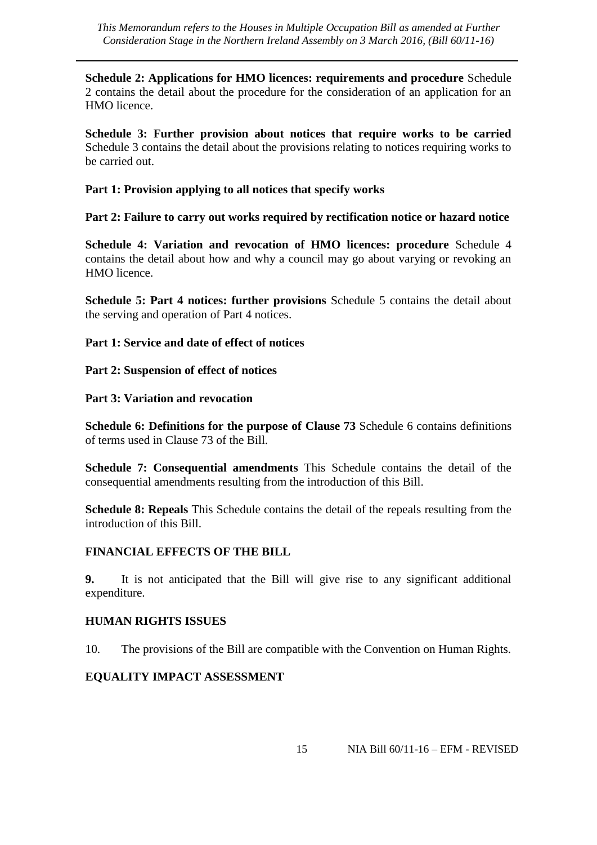**Schedule 2: Applications for HMO licences: requirements and procedure** Schedule 2 contains the detail about the procedure for the consideration of an application for an HMO licence.

**Schedule 3: Further provision about notices that require works to be carried**  Schedule 3 contains the detail about the provisions relating to notices requiring works to be carried out.

**Part 1: Provision applying to all notices that specify works**

**Part 2: Failure to carry out works required by rectification notice or hazard notice**

**Schedule 4: Variation and revocation of HMO licences: procedure** Schedule 4 contains the detail about how and why a council may go about varying or revoking an HMO licence.

**Schedule 5: Part 4 notices: further provisions** Schedule 5 contains the detail about the serving and operation of Part 4 notices.

#### **Part 1: Service and date of effect of notices**

#### **Part 2: Suspension of effect of notices**

#### **Part 3: Variation and revocation**

**Schedule 6: Definitions for the purpose of Clause 73** Schedule 6 contains definitions of terms used in Clause 73 of the Bill.

**Schedule 7: Consequential amendments** This Schedule contains the detail of the consequential amendments resulting from the introduction of this Bill.

**Schedule 8: Repeals** This Schedule contains the detail of the repeals resulting from the introduction of this Bill.

#### **FINANCIAL EFFECTS OF THE BILL**

**9.** It is not anticipated that the Bill will give rise to any significant additional expenditure.

#### **HUMAN RIGHTS ISSUES**

10. The provisions of the Bill are compatible with the Convention on Human Rights.

#### **EQUALITY IMPACT ASSESSMENT**